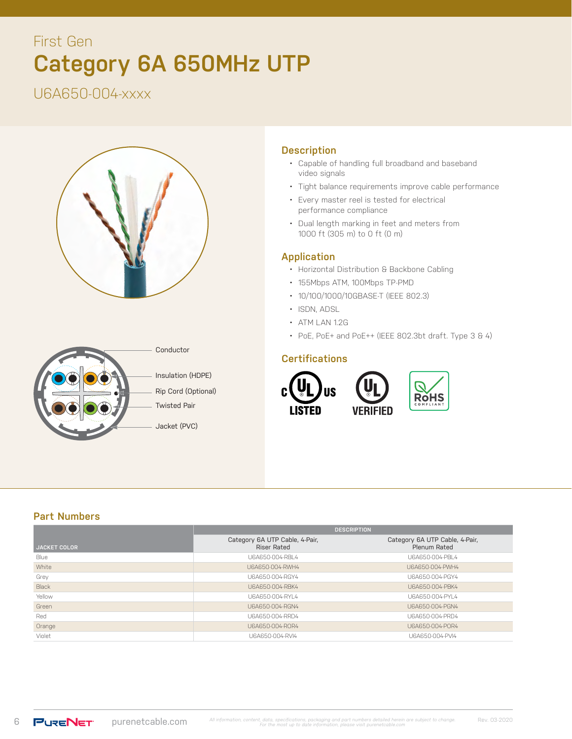# **Category 6A 650MHz UTP**  First Gen

U6A650-004-xxxx





## **Description**

- Capable of handling full broadband and baseband video signals
- Tight balance requirements improve cable performance
- Every master reel is tested for electrical performance compliance
- Dual length marking in feet and meters from 1000 ft (305 m) to 0 ft (0 m)

### **Application**

- Horizontal Distribution & Backbone Cabling
- 155Mbps ATM, 100Mbps TP-PMD
- 10/100/1000/10GBASE-T (IEEE 802.3)
- ISDN, ADSL
- ATM LAN 1.2G
- PoE, PoE+ and PoE++ (IEEE 802.3bt draft. Type 3 & 4)

#### **Certifications**



## **Part Numbers**

|                     | <b>DESCRIPTION</b>                                   |                                                |  |  |
|---------------------|------------------------------------------------------|------------------------------------------------|--|--|
| <b>JACKET COLOR</b> | Category 6A UTP Cable, 4-Pair,<br><b>Riser Rated</b> | Category 6A UTP Cable, 4-Pair,<br>Plenum Rated |  |  |
| Blue                | U6A650-004-RBL4                                      | U6A650-004-PBL4                                |  |  |
| White               | U6A650-004-RWH4                                      | U6A650-004-PWH4                                |  |  |
| Grey                | U6A650-004-RGY4                                      | U6A650-004-PGY4                                |  |  |
| Black               | U6A650-004-RBK4                                      | U6A650-004-PBK4                                |  |  |
| Yellow              | U6A650-004-RYL4                                      | U6A650-004-PYL4                                |  |  |
| Green               | U6A650-004-RGN4                                      | U6A650-004-PGN4                                |  |  |
| Red                 | U6A650-004-RRD4                                      | U6A650-004-PRD4                                |  |  |
| Orange              | U6A650-004-ROR4                                      | U6A650-004-POR4                                |  |  |
| Violet              | U6A650-004-RVI4                                      | U6A650-004-PVI4                                |  |  |